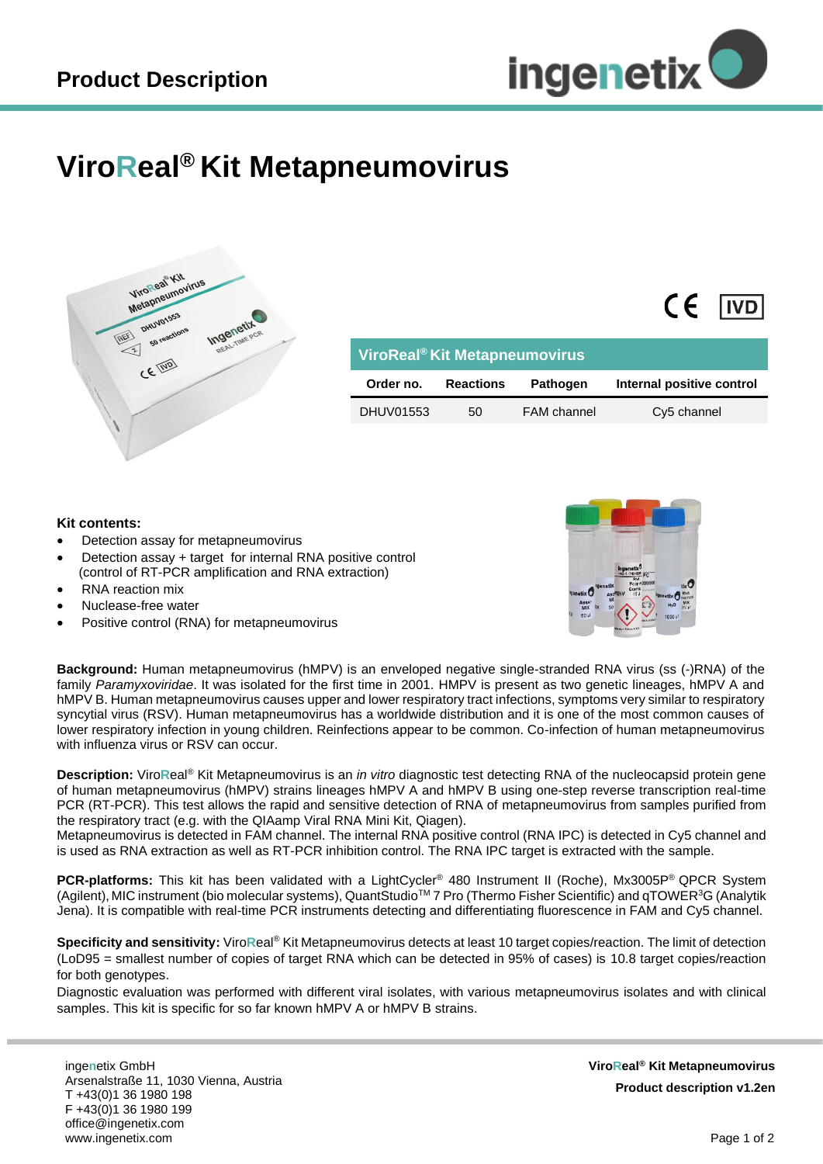

 $\epsilon$ 

**IVD** 

## **ViroReal® Kit Metapneumovirus**



| ViroReal <sup>®</sup> Kit Metapneumovirus |                  |                    |                           |
|-------------------------------------------|------------------|--------------------|---------------------------|
| Order no.                                 | <b>Reactions</b> | Pathogen           | Internal positive control |
| DHUV01553                                 | 50               | <b>FAM</b> channel | Cy5 channel               |

## **Kit contents:**

- Detection assay for metapneumovirus
- Detection assay + target for internal RNA positive control (control of RT-PCR amplification and RNA extraction)
- RNA reaction mix
- Nuclease-free water
- Positive control (RNA) for metapneumovirus



**Background:** Human metapneumovirus (hMPV) is an enveloped negative single-stranded RNA virus (ss (-)RNA) of the family *Paramyxoviridae*. It was isolated for the first time in 2001. HMPV is present as two genetic lineages, hMPV A and hMPV B. Human metapneumovirus causes upper and lower respiratory tract infections, symptoms very similar to respiratory syncytial virus (RSV). Human metapneumovirus has a worldwide distribution and it is one of the most common causes of lower respiratory infection in young children. Reinfections appear to be common. Co-infection of human metapneumovirus with influenza virus or RSV can occur.

**Description:** Viro**R**eal® Kit Metapneumovirus is an *in vitro* diagnostic test detecting RNA of the nucleocapsid protein gene of human metapneumovirus (hMPV) strains lineages hMPV A and hMPV B using one-step reverse transcription real-time PCR (RT-PCR). This test allows the rapid and sensitive detection of RNA of metapneumovirus from samples purified from the respiratory tract (e.g. with the QIAamp Viral RNA Mini Kit, Qiagen).

Metapneumovirus is detected in FAM channel. The internal RNA positive control (RNA IPC) is detected in Cy5 channel and is used as RNA extraction as well as RT-PCR inhibition control. The RNA IPC target is extracted with the sample.

**PCR-platforms:** This kit has been validated with a LightCycler® 480 Instrument II (Roche), Mx3005P® QPCR System (Agilent), MIC instrument (bio molecular systems), QuantStudio<sup>TM</sup> 7 Pro (Thermo Fisher Scientific) and  $qTOWER<sup>3</sup>G$  (Analytik Jena). It is compatible with real-time PCR instruments detecting and differentiating fluorescence in FAM and Cy5 channel.

**Specificity and sensitivity:** Viro**R**eal® Kit Metapneumovirus detects at least 10 target copies/reaction. The limit of detection (LoD95 = smallest number of copies of target RNA which can be detected in 95% of cases) is 10.8 target copies/reaction for both genotypes.

Diagnostic evaluation was performed with different viral isolates, with various metapneumovirus isolates and with clinical samples. This kit is specific for so far known hMPV A or hMPV B strains.

inge**n**etix GmbH Arsenalstraße 11, 1030 Vienna, Austria T +43(0)1 36 1980 198 F +43(0)1 36 1980 199 office@ingenetix.com www.ingenetix.com

**ViroReal® Kit Metapneumovirus Product description v1.2en**